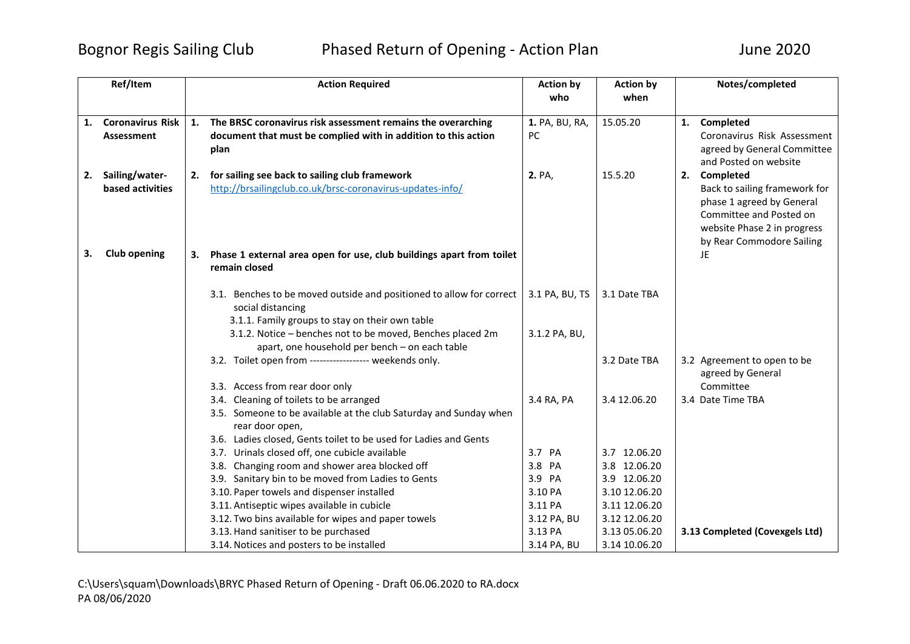## Bognor Regis Sailing Club Phased Return of Opening - Action Plan June 2020

|    | Ref/Item                           |    | <b>Action Required</b>                                                                                         | <b>Action by</b> | <b>Action by</b> | Notes/completed                                            |
|----|------------------------------------|----|----------------------------------------------------------------------------------------------------------------|------------------|------------------|------------------------------------------------------------|
|    |                                    |    |                                                                                                                | who              | when             |                                                            |
|    | <b>Coronavirus Risk</b>            | 1. | The BRSC coronavirus risk assessment remains the overarching                                                   | 1. PA, BU, RA,   | 15.05.20         | 1. Completed                                               |
| 1. | <b>Assessment</b>                  |    | document that must be complied with in addition to this action                                                 | PC.              |                  | Coronavirus Risk Assessment                                |
|    |                                    |    |                                                                                                                |                  |                  |                                                            |
|    |                                    |    | plan                                                                                                           |                  |                  | agreed by General Committee<br>and Posted on website       |
|    |                                    |    |                                                                                                                |                  |                  | 2. Completed                                               |
| 2. | Sailing/water-<br>based activities |    | 2. for sailing see back to sailing club framework<br>http://brsailingclub.co.uk/brsc-coronavirus-updates-info/ | 2. PA,           | 15.5.20          |                                                            |
|    |                                    |    |                                                                                                                |                  |                  | Back to sailing framework for<br>phase 1 agreed by General |
|    |                                    |    |                                                                                                                |                  |                  | Committee and Posted on                                    |
|    |                                    |    |                                                                                                                |                  |                  | website Phase 2 in progress                                |
|    |                                    |    |                                                                                                                |                  |                  | by Rear Commodore Sailing                                  |
| з. | <b>Club opening</b>                | З. | Phase 1 external area open for use, club buildings apart from toilet                                           |                  |                  | <b>JE</b>                                                  |
|    |                                    |    | remain closed                                                                                                  |                  |                  |                                                            |
|    |                                    |    |                                                                                                                |                  |                  |                                                            |
|    |                                    |    | 3.1. Benches to be moved outside and positioned to allow for correct                                           | 3.1 PA, BU, TS   | 3.1 Date TBA     |                                                            |
|    |                                    |    | social distancing                                                                                              |                  |                  |                                                            |
|    |                                    |    | 3.1.1. Family groups to stay on their own table                                                                |                  |                  |                                                            |
|    |                                    |    | 3.1.2. Notice - benches not to be moved, Benches placed 2m                                                     | 3.1.2 PA, BU,    |                  |                                                            |
|    |                                    |    | apart, one household per bench - on each table                                                                 |                  |                  |                                                            |
|    |                                    |    | 3.2. Toilet open from ------------------ weekends only.                                                        |                  | 3.2 Date TBA     | 3.2 Agreement to open to be                                |
|    |                                    |    |                                                                                                                |                  |                  | agreed by General                                          |
|    |                                    |    | 3.3. Access from rear door only                                                                                |                  |                  | Committee                                                  |
|    |                                    |    | 3.4. Cleaning of toilets to be arranged                                                                        | 3.4 RA, PA       | 3.4 12.06.20     | 3.4 Date Time TBA                                          |
|    |                                    |    | 3.5. Someone to be available at the club Saturday and Sunday when                                              |                  |                  |                                                            |
|    |                                    |    | rear door open,                                                                                                |                  |                  |                                                            |
|    |                                    |    | 3.6. Ladies closed, Gents toilet to be used for Ladies and Gents                                               |                  |                  |                                                            |
|    |                                    |    | 3.7. Urinals closed off, one cubicle available                                                                 | 3.7 PA           | 3.7 12.06.20     |                                                            |
|    |                                    |    | 3.8. Changing room and shower area blocked off                                                                 | 3.8 PA           | 3.8 12.06.20     |                                                            |
|    |                                    |    | 3.9. Sanitary bin to be moved from Ladies to Gents                                                             | 3.9 PA           | 3.9 12.06.20     |                                                            |
|    |                                    |    | 3.10. Paper towels and dispenser installed                                                                     | 3.10 PA          | 3.10 12.06.20    |                                                            |
|    |                                    |    | 3.11. Antiseptic wipes available in cubicle                                                                    | 3.11 PA          | 3.11 12.06.20    |                                                            |
|    |                                    |    | 3.12. Two bins available for wipes and paper towels                                                            | 3.12 PA, BU      | 3.12 12.06.20    |                                                            |
|    |                                    |    | 3.13. Hand sanitiser to be purchased                                                                           | 3.13 PA          | 3.13 05.06.20    | 3.13 Completed (Covexgels Ltd)                             |
|    |                                    |    | 3.14. Notices and posters to be installed                                                                      | 3.14 PA, BU      | 3.14 10.06.20    |                                                            |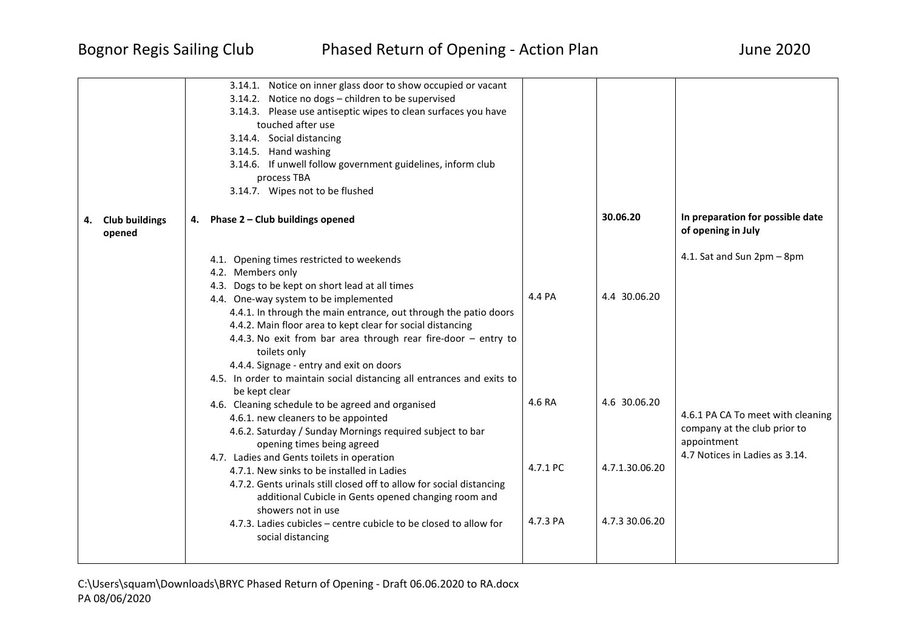|                                       | 3.14.1. Notice on inner glass door to show occupied or vacant<br>3.14.2. Notice no dogs - children to be supervised<br>3.14.3. Please use antiseptic wipes to clean surfaces you have<br>touched after use<br>3.14.4. Social distancing<br>3.14.5. Hand washing<br>3.14.6. If unwell follow government guidelines, inform club<br>process TBA<br>3.14.7. Wipes not to be flushed                                                                                                                                                                                                                                                                                                                                                                                                                                                                                                                                                                                                                                                                         |                                          |                                                                  |                                                                                                                                                  |
|---------------------------------------|----------------------------------------------------------------------------------------------------------------------------------------------------------------------------------------------------------------------------------------------------------------------------------------------------------------------------------------------------------------------------------------------------------------------------------------------------------------------------------------------------------------------------------------------------------------------------------------------------------------------------------------------------------------------------------------------------------------------------------------------------------------------------------------------------------------------------------------------------------------------------------------------------------------------------------------------------------------------------------------------------------------------------------------------------------|------------------------------------------|------------------------------------------------------------------|--------------------------------------------------------------------------------------------------------------------------------------------------|
| <b>Club buildings</b><br>4.<br>opened | 4. Phase 2 - Club buildings opened                                                                                                                                                                                                                                                                                                                                                                                                                                                                                                                                                                                                                                                                                                                                                                                                                                                                                                                                                                                                                       |                                          | 30.06.20                                                         | In preparation for possible date<br>of opening in July                                                                                           |
|                                       | 4.1. Opening times restricted to weekends<br>4.2. Members only<br>4.3. Dogs to be kept on short lead at all times<br>4.4. One-way system to be implemented<br>4.4.1. In through the main entrance, out through the patio doors<br>4.4.2. Main floor area to kept clear for social distancing<br>4.4.3. No exit from bar area through rear fire-door - entry to<br>toilets only<br>4.4.4. Signage - entry and exit on doors<br>4.5. In order to maintain social distancing all entrances and exits to<br>be kept clear<br>4.6. Cleaning schedule to be agreed and organised<br>4.6.1. new cleaners to be appointed<br>4.6.2. Saturday / Sunday Mornings required subject to bar<br>opening times being agreed<br>4.7. Ladies and Gents toilets in operation<br>4.7.1. New sinks to be installed in Ladies<br>4.7.2. Gents urinals still closed off to allow for social distancing<br>additional Cubicle in Gents opened changing room and<br>showers not in use<br>4.7.3. Ladies cubicles - centre cubicle to be closed to allow for<br>social distancing | 4.4 PA<br>4.6 RA<br>4.7.1 PC<br>4.7.3 PA | 4.4 30.06.20<br>4.6 30.06.20<br>4.7.1.30.06.20<br>4.7.3 30.06.20 | 4.1. Sat and Sun 2pm - 8pm<br>4.6.1 PA CA To meet with cleaning<br>company at the club prior to<br>appointment<br>4.7 Notices in Ladies as 3.14. |

C:\Users\squam\Downloads\BRYC Phased Return of Opening - Draft 06.06.2020 to RA.docx PA 08/06/2020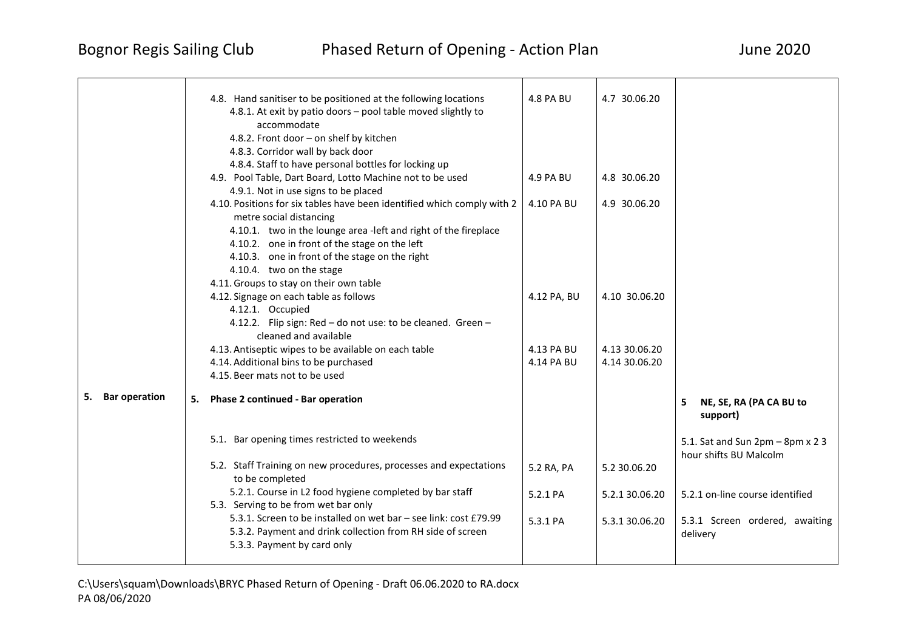|                            | 4.8. Hand sanitiser to be positioned at the following locations                                                                                               | <b>4.8 PA BU</b> | 4.7 30.06.20   |                                                            |
|----------------------------|---------------------------------------------------------------------------------------------------------------------------------------------------------------|------------------|----------------|------------------------------------------------------------|
|                            | 4.8.1. At exit by patio doors - pool table moved slightly to                                                                                                  |                  |                |                                                            |
|                            | accommodate                                                                                                                                                   |                  |                |                                                            |
|                            | 4.8.2. Front door - on shelf by kitchen                                                                                                                       |                  |                |                                                            |
|                            | 4.8.3. Corridor wall by back door                                                                                                                             |                  |                |                                                            |
|                            | 4.8.4. Staff to have personal bottles for locking up                                                                                                          |                  |                |                                                            |
|                            | 4.9. Pool Table, Dart Board, Lotto Machine not to be used                                                                                                     | 4.9 PA BU        | 4.8 30.06.20   |                                                            |
|                            | 4.9.1. Not in use signs to be placed                                                                                                                          |                  |                |                                                            |
|                            | 4.10. Positions for six tables have been identified which comply with 2<br>metre social distancing                                                            | 4.10 PA BU       | 4.9 30.06.20   |                                                            |
|                            | 4.10.1. two in the lounge area -left and right of the fireplace                                                                                               |                  |                |                                                            |
|                            | 4.10.2. one in front of the stage on the left                                                                                                                 |                  |                |                                                            |
|                            | 4.10.3. one in front of the stage on the right                                                                                                                |                  |                |                                                            |
|                            | 4.10.4. two on the stage                                                                                                                                      |                  |                |                                                            |
|                            | 4.11. Groups to stay on their own table                                                                                                                       |                  |                |                                                            |
|                            | 4.12. Signage on each table as follows                                                                                                                        | 4.12 PA, BU      | 4.10 30.06.20  |                                                            |
|                            | 4.12.1. Occupied                                                                                                                                              |                  |                |                                                            |
|                            | 4.12.2. Flip sign: Red - do not use: to be cleaned. Green -<br>cleaned and available                                                                          |                  |                |                                                            |
|                            | 4.13. Antiseptic wipes to be available on each table                                                                                                          | 4.13 PA BU       | 4.13 30.06.20  |                                                            |
|                            | 4.14. Additional bins to be purchased                                                                                                                         | 4.14 PA BU       | 4.14 30.06.20  |                                                            |
|                            | 4.15. Beer mats not to be used                                                                                                                                |                  |                |                                                            |
| <b>Bar operation</b><br>5. | 5.<br>Phase 2 continued - Bar operation                                                                                                                       |                  |                | NE, SE, RA (PA CA BU to<br>5.<br>support)                  |
|                            | 5.1. Bar opening times restricted to weekends                                                                                                                 |                  |                | 5.1. Sat and Sun 2pm - 8pm x 2 3<br>hour shifts BU Malcolm |
|                            | 5.2. Staff Training on new procedures, processes and expectations<br>to be completed                                                                          | 5.2 RA, PA       | 5.2 30.06.20   |                                                            |
|                            | 5.2.1. Course in L2 food hygiene completed by bar staff<br>5.3. Serving to be from wet bar only                                                               | 5.2.1 PA         | 5.2.1 30.06.20 | 5.2.1 on-line course identified                            |
|                            | 5.3.1. Screen to be installed on wet bar - see link: cost £79.99<br>5.3.2. Payment and drink collection from RH side of screen<br>5.3.3. Payment by card only | 5.3.1 PA         | 5.3.1 30.06.20 | 5.3.1 Screen ordered, awaiting<br>delivery                 |
|                            |                                                                                                                                                               |                  |                |                                                            |